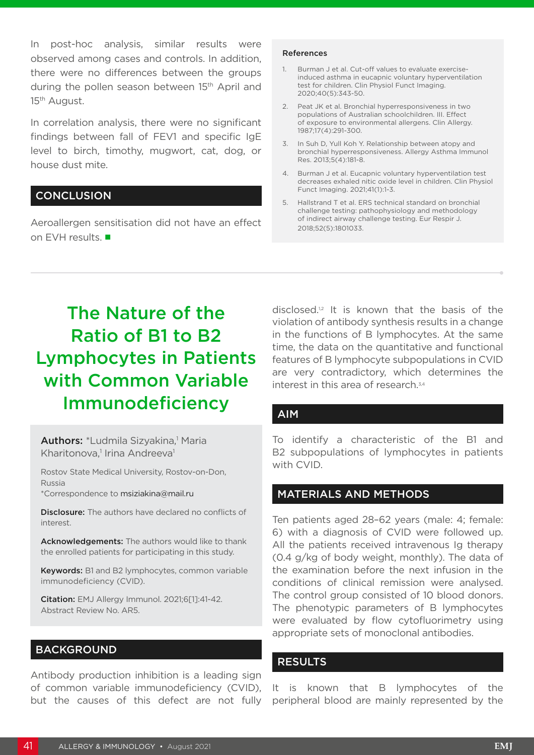In post-hoc analysis, similar results were observed among cases and controls. In addition, there were no differences between the groups during the pollen season between 15<sup>th</sup> April and 15th August.

In correlation analysis, there were no significant findings between fall of FEV1 and specific IgE level to birch, timothy, mugwort, cat, dog, or house dust mite.

## **CONCLUSION**

Aeroallergen sensitisation did not have an effect on EVH results. ■

#### References

- 1. Burman J et al. Cut-off values to evaluate exerciseinduced asthma in eucapnic voluntary hyperventilation test for children. Clin Physiol Funct Imaging. 2020;40(5):343-50.
- 2. Peat JK et al. Bronchial hyperresponsiveness in two populations of Australian schoolchildren. III. Effect of exposure to environmental allergens. Clin Allergy. 1987;17(4):291-300.
- 3. In Suh D, Yull Koh Y. Relationship between atopy and bronchial hyperresponsiveness. Allergy Asthma Immunol Res. 2013;5(4):181-8.
- 4. Burman J et al. Eucapnic voluntary hyperventilation test decreases exhaled nitic oxide level in children. Clin Physiol Funct Imaging. 2021;41(1):1-3.
- 5. Hallstrand T et al. ERS technical standard on bronchial challenge testing: pathophysiology and methodology of indirect airway challenge testing. Eur Respir J. 2018;52(5):1801033.

# The Nature of the Ratio of B1 to B2 Lymphocytes in Patients with Common Variable Immunodeficiency

Authors: \*Ludmila Sizyakina,<sup>1</sup> Maria Kharitonova,<sup>1</sup> Irina Andreeva<sup>1</sup>

Rostov State Medical University, Rostov-on-Don, Russia

\*Correspondence to msiziakina@mail.ru

**Disclosure:** The authors have declared no conflicts of interest.

Acknowledgements: The authors would like to thank the enrolled patients for participating in this study.

Keywords: B1 and B2 lymphocytes, common variable immunodeficiency (CVID).

Citation: EMJ Allergy Immunol. 2021;6[1]:41-42. Abstract Review No. AR5.

## BACKGROUND

Antibody production inhibition is a leading sign of common variable immunodeficiency (CVID), but the causes of this defect are not fully disclosed.1,2 It is known that the basis of the violation of antibody synthesis results in a change in the functions of B lymphocytes. At the same time, the data on the quantitative and functional features of B lymphocyte subpopulations in CVID are very contradictory, which determines the interest in this area of research.3,4

## AIM

To identify a characteristic of the B1 and B2 subpopulations of lymphocytes in patients with CVID.

## MATERIALS AND METHODS

Ten patients aged 28–62 years (male: 4; female: 6) with a diagnosis of CVID were followed up. All the patients received intravenous Ig therapy (0.4 g/kg of body weight, monthly). The data of the examination before the next infusion in the conditions of clinical remission were analysed. The control group consisted of 10 blood donors. The phenotypic parameters of B lymphocytes were evaluated by flow cytofluorimetry using appropriate sets of monoclonal antibodies.

#### **RESULTS**

It is known that B lymphocytes of the peripheral blood are mainly represented by the